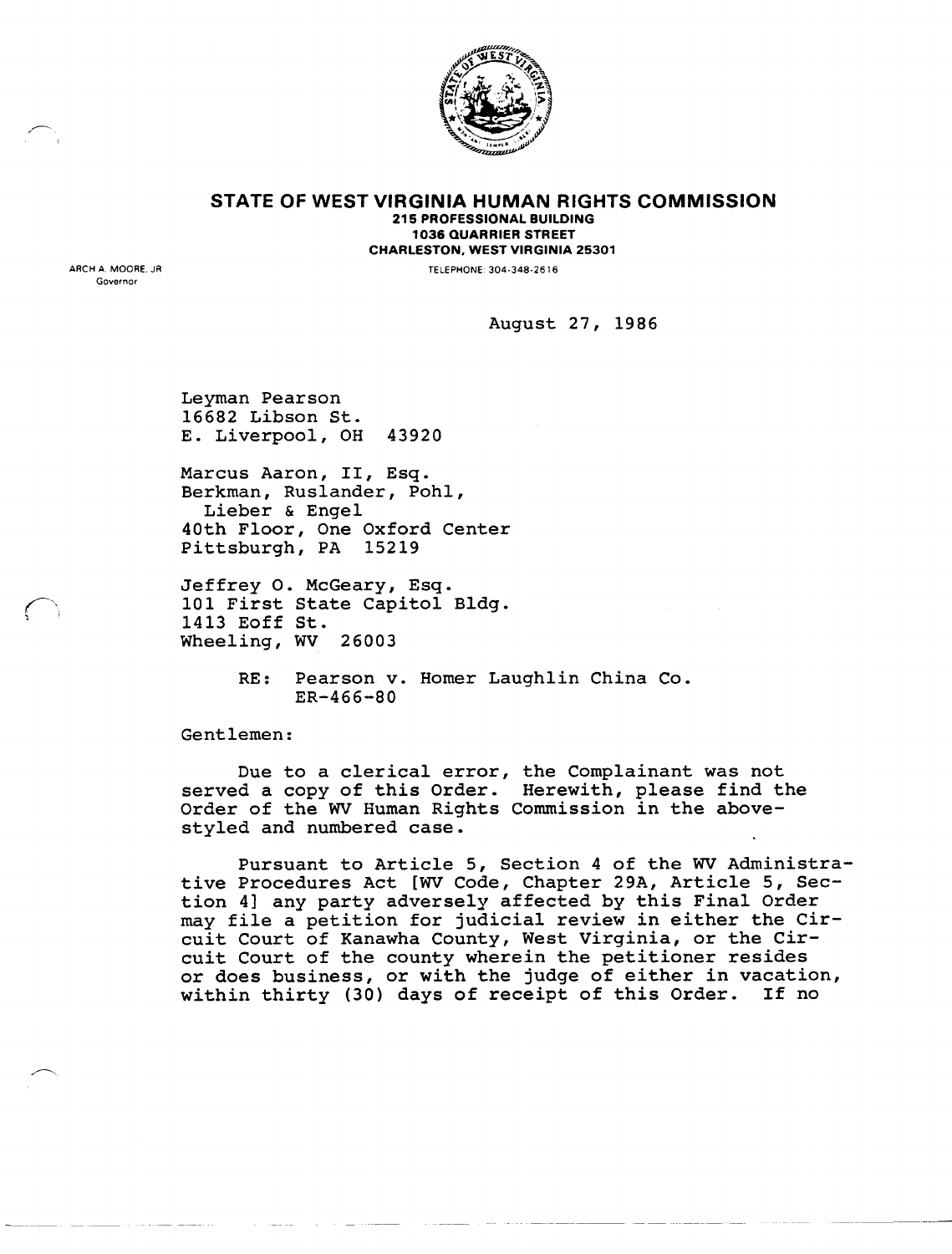

**STATE OF WEST VIRGINIA HUMAN RIGHTS COMMISSION** 215 PROFESSIONAL BUILDING 1036 QUARRIER STREET CHARLESTON, WEST VIRGINIA 25301

TELEPHONE: 304-348-2616

ARCH A. MOORE, JR Governor

 $\sum_{i=1}^n$  $\langle \quad \rangle$ 

August 27, 1986

Leyman Pearson 16682 Libson St. E. Liverpool, OH 43920

Marcus Aaron, II, Esq. Berkman, Ruslander, Pohl, Lieber & Engel 40th Floor, One Oxford Center Pittsburgh, PA 15219

Jeffrey o. McGeary, Esq. 101 First State Capitol Bldg. 1413 Eoff St. Wheeling, WV 26003

> RE: Pearson v. Homer Laughlin China Co. ER-466-80

Gentlemen:

Due to a clerical error, the Complainant was not served a copy of this Order. Herewith, please find the Order of the WV Human Rights Commission in the abovestyled and numbered case.

Pursuant to Article 5, Section 4 of the WV Administrative Procedures Act [WV Code, Chapter 29A, Article 5, Section 4] any party adversely affected by this Final Order may file a petition for judicial review in either the Circuit Court of Kanawha County, West Virginia, or the Circuit Court of the county wherein the petitioner resides or does business, or with the judge of either in vacation, within thirty (30) days of receipt of this Order. If no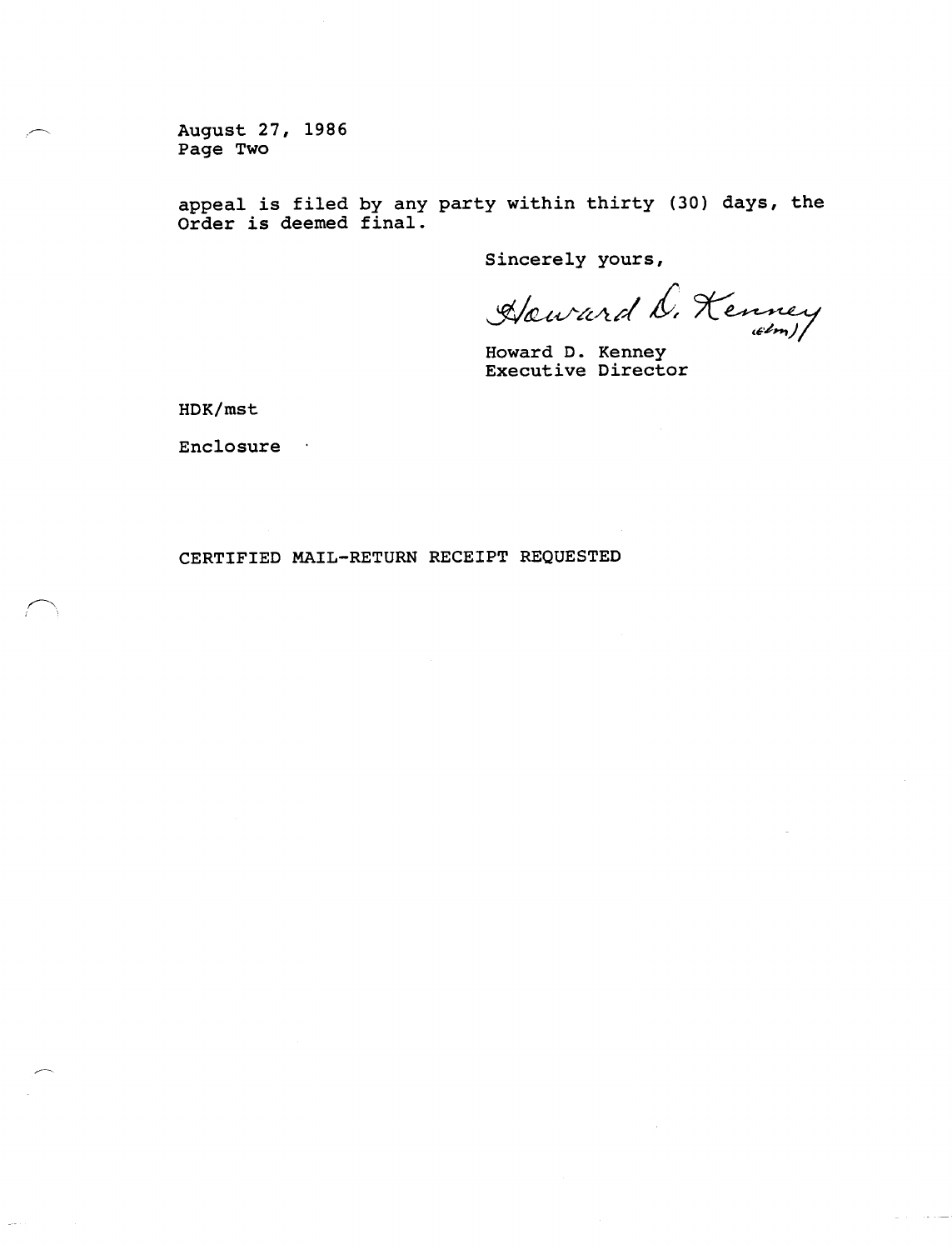August 27, 1986 Page Two

appeal *is* filed by any party within thirty (30) days, the Order *is* deemed final.

Sincerely yours,

*\$tfU.ifL'l-/l/"/* £, 7t"~ *(~'~H-j)1*

Howard D. Kenney Executive Director

HDK/mst

**Enclosure** 

CERTIFIED MAIL-RETURN RECEIPT REQUESTED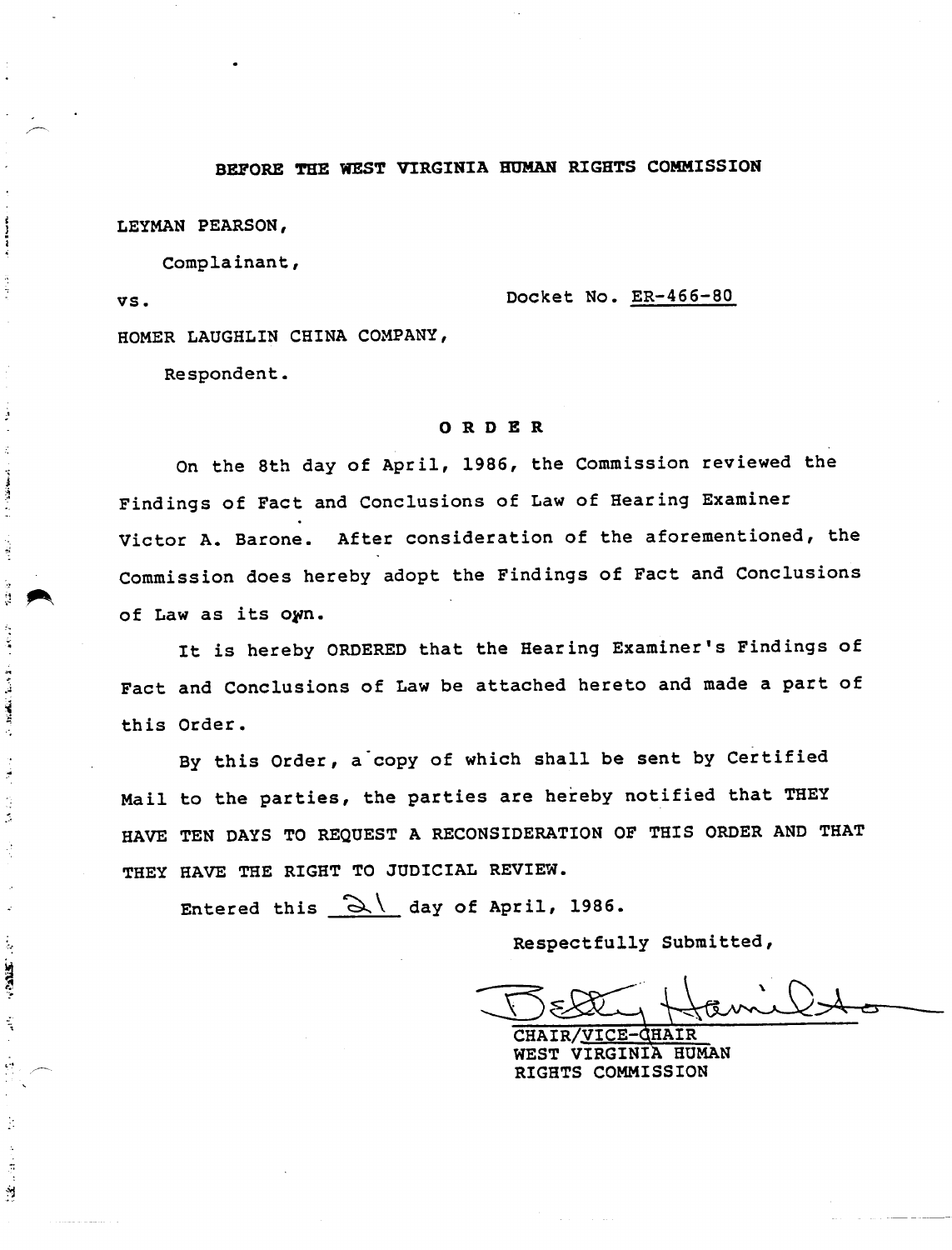# BEFORE THE WEST VIRGINIA HUMAN RIGHTS COMMISSION

LEYMAN PEARSON,

VS.

à

**Contract Contract Contract** 

经货物

计单位字

 $\label{eq:1} \mathcal{N} = 2\pi\sqrt{2\pi} \sqrt{2\pi} \sqrt{2\pi} \sqrt{2\pi} \sqrt{2\pi} \sqrt{2\pi} \sqrt{2\pi} \sqrt{2\pi} \sqrt{2\pi} \sqrt{2\pi} \sqrt{2\pi} \sqrt{2\pi} \sqrt{2\pi} \sqrt{2\pi} \sqrt{2\pi} \sqrt{2\pi} \sqrt{2\pi} \sqrt{2\pi} \sqrt{2\pi} \sqrt{2\pi} \sqrt{2\pi} \sqrt{2\pi} \sqrt{2\pi} \sqrt{2\pi} \sqrt{2\pi} \sqrt{2\pi} \sqrt{2\pi} \sqrt{2\pi} \sqrt{2\pi$ 

Ź

J.  $\ddot{\phantom{a}}$ 

 $\frac{1}{2}$ 

**STARS:** 

 $\frac{1}{2}$ 

 $\epsilon$  :

ģ.

 $\frac{1}{2}$  $\frac{1}{2}$  Complainant,

Docket No. ER-466-80

HOMER LAUGHLIN CHINA COMPANY,

Respondent.

#### ORDER

On the 8th day of April, 1986, the Commission reviewed the Findings of Fact and Conclusions of Law of Hearing Examiner Victor A. Barone. After consideration of the aforementioned, the Commission does hereby adopt the Findings of Fact and Conclusions of Law as its own.

It is hereby ORDERED that the Hearing Examiner's Findings of Fact and Conclusions of Law be attached hereto and made a part of this Order.

. By this Order, a copy of which shall be sent by Certified Mail to the parties, the parties are hereby notified that THEY HAVE TEN DAYS TO REQUEST A RECONSIDERATION OF THIS ORDER AND THAT THEY HAVE THE RIGHT TO JUDICIAL REVIEW.

Entered this  $\sim$  day of April, 1986.

 $Respectfully submitted$   $Respectfully Studented  
MMSO$ 

CHAIR/VICE-GHAIR WEST VIRGINIA HUMAN RIGHTS COMMISSION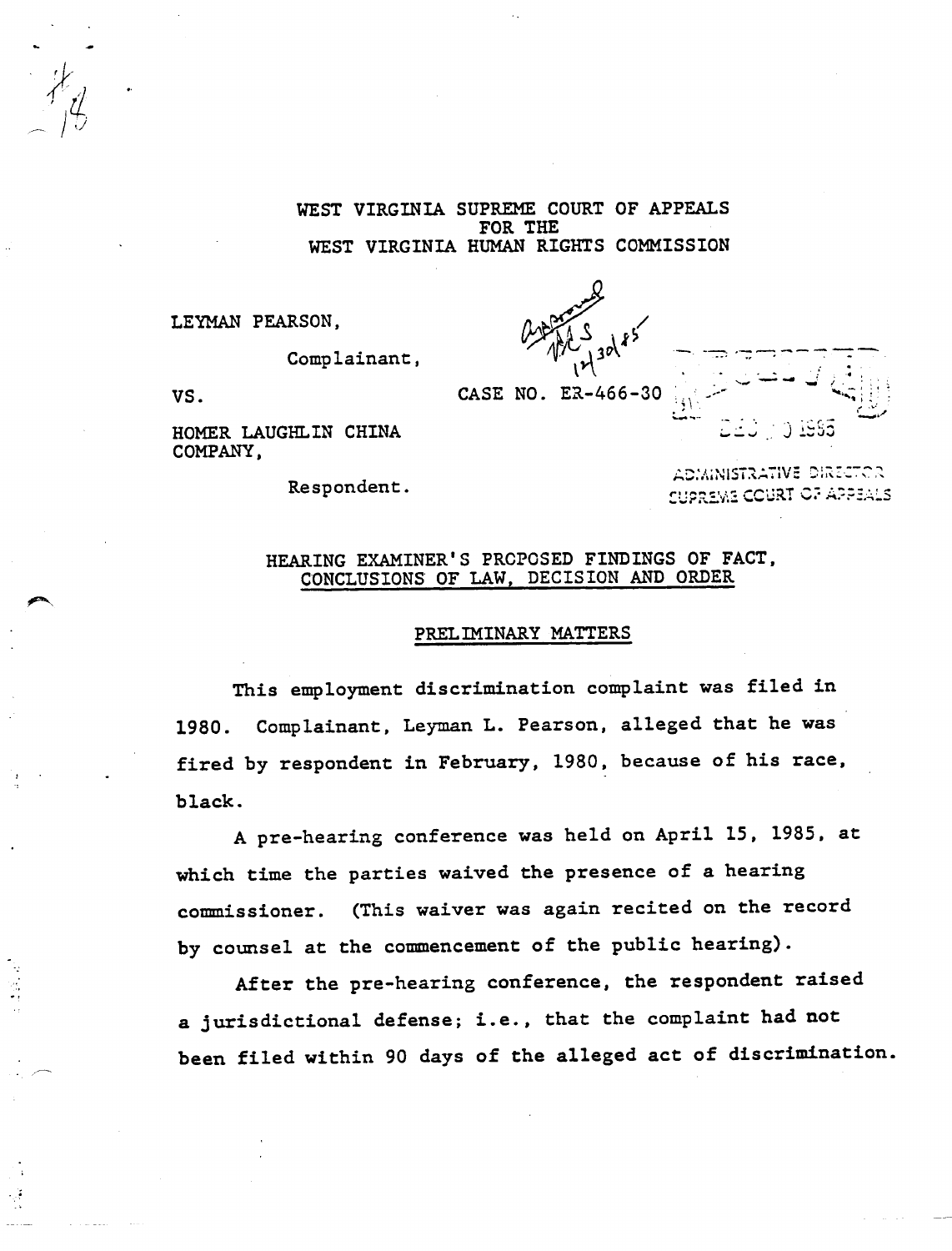WEST VIRGINIA SUPREME COURT OF APPEALS FOR THE WEST VIRGINIA HUMAN RIGHTS COMMISSION

LEYMAN PEARSON,

Complainant,

*~\k{*  $\sqrt{11}$   $\frac{30}{1}$ : <sup>~</sup> \ ' ••••••• - -"\* •• :~ ; *i ~ ~*

•

VS. CASE NO. ER-466-30

HOMER LAUGHLIN CHINA COMPANY,

Respondent.

**ADMINISTRATIVE DIRECTOR CUPREME COURT OF APPEALS** 

r ." .1.: ......•..•.. ' " *., ~.-'r,-* ••.~"'" J ':'~:.i.:J

 $\mathcal{L} \subset \mathbb{R}^3$ .....- \_... ....~ ;.'. '; "-

# HEARING EXAMINER'S PRCPOSED FINDINGS OF FACT, CONCLUSIONS OF LAW, DECISION AND ORDER

### PRELIMINARY MATTERS

This employment discrimination complaint was filed in 1980. Complainant, Leyman L. Pearson, alleged that he was fired by respondent in February, 1980, because of his race, black.

A pre-hearing conference was held on April 15, 1985, at which time the parties waived the presence of a hearing commissioner. (This waiver was again recited on the record by counsel at the commencement of the public hearing).

After the pre-hearing conference, the respondent raised a jurisdictional defense; i.e., that the complaint had not been filed within 90 days of the alleged act of discrimination.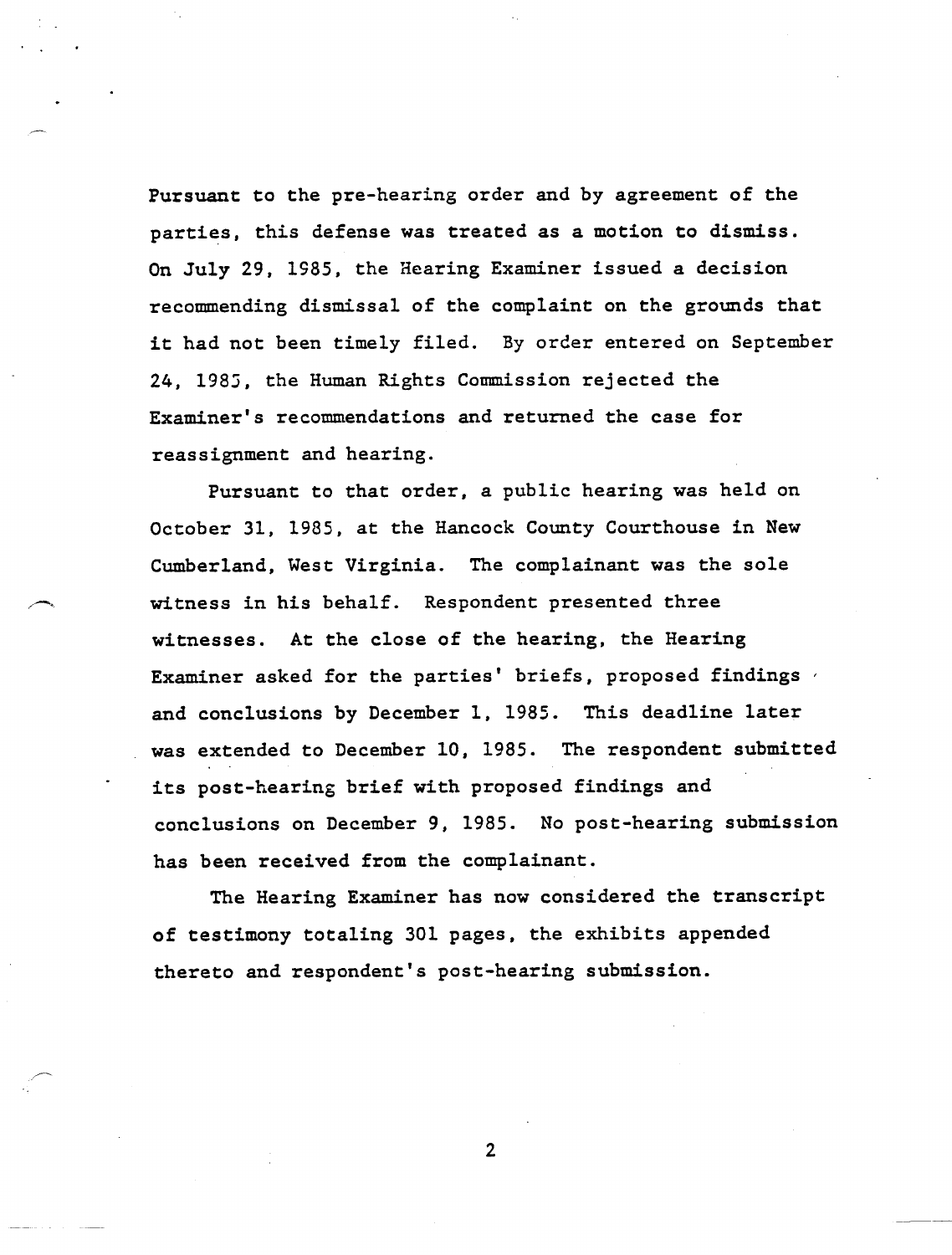Pursuant to the pre-hearing order and by agreement of the parties, this defense was treated as a motion to dismiss. On July 29, 1985, the Hearing Examiner issued a decision recommending dismissal of the complaint on the grounds that it had not been timely filed. By order entered on September 24, 1985, the Human Rights Commission rejected the Examiner's recommendations and returned the case for reassignment and hearing.

Pursuant to that order, a public hearing was held on October 31, 1985, at the Hancock County Courthouse in New Cumberland, West Virginia. The complainant was the sole witness in his behalf. Respondent presented three witnesses. At the close of the hearing, the Hearing Examiner asked for the parties' briefs, proposed findings and conclusions by December 1, 1985. This deadline later was extended to December 10, 1985. The respondent submitted its post-hearing brief with proposed findings and conclusions on December 9, 1985. No post-hearing submission has been received from the complainant.

The Hearing Examiner has now considered the transcript of testimony totaling 301 pages, the exhibits appended thereto and respondent's post-hearing submission.

 $\overline{2}$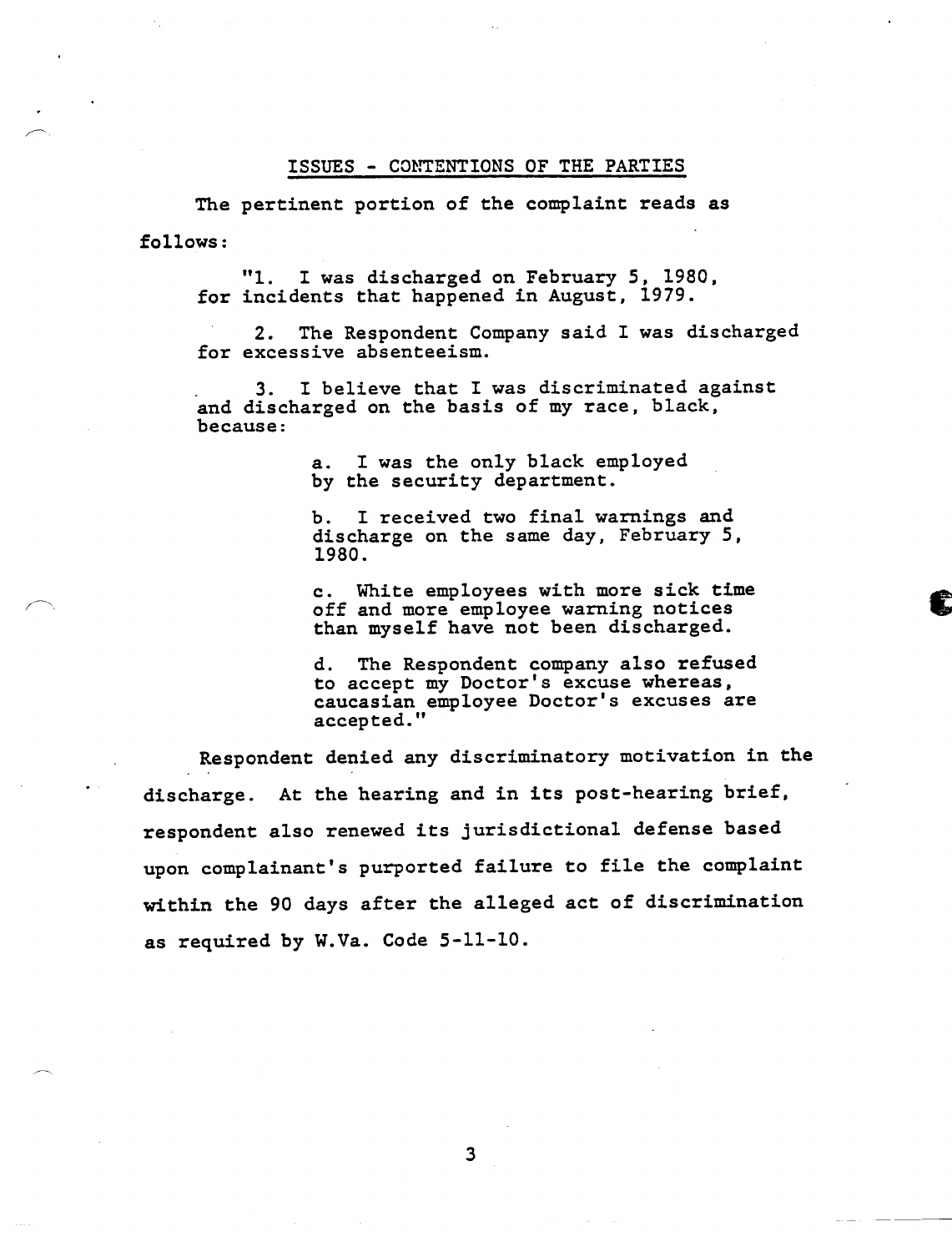### ISSUES - CONTENTIONS OF THE PARTIES

The pertinent portion of the complaint reads as follows:

"1. I was discharged on February 5, 1980, for incidents that happened in August, 1979.

2. The Respondent Company said I was discharged for excessive absenteeism.

. 3. I believe that I was discriminated against and discharged on the basis of my race, black, because:

> a. I was the only black employed by the security department.

b. I received two final warnings and discharge on the same day, February 5, 1980.

c. White employees with more sick time off and more employee warning notices than myself have not been discharged.

d. The Respondent company also refused to accept my Doctor's excuse whereas, caucasian employee Doctor's excuses are accepted."

Respondent denied any discriminatory motivation in the discharge. At the hearing and in its post-hearing brief, respondent also renewed its jurisdictional defense based upon complainant's purported failure to file the complaint within the 90 days after the alleged act of discrimination as required by W.Va. Code 5-11-10.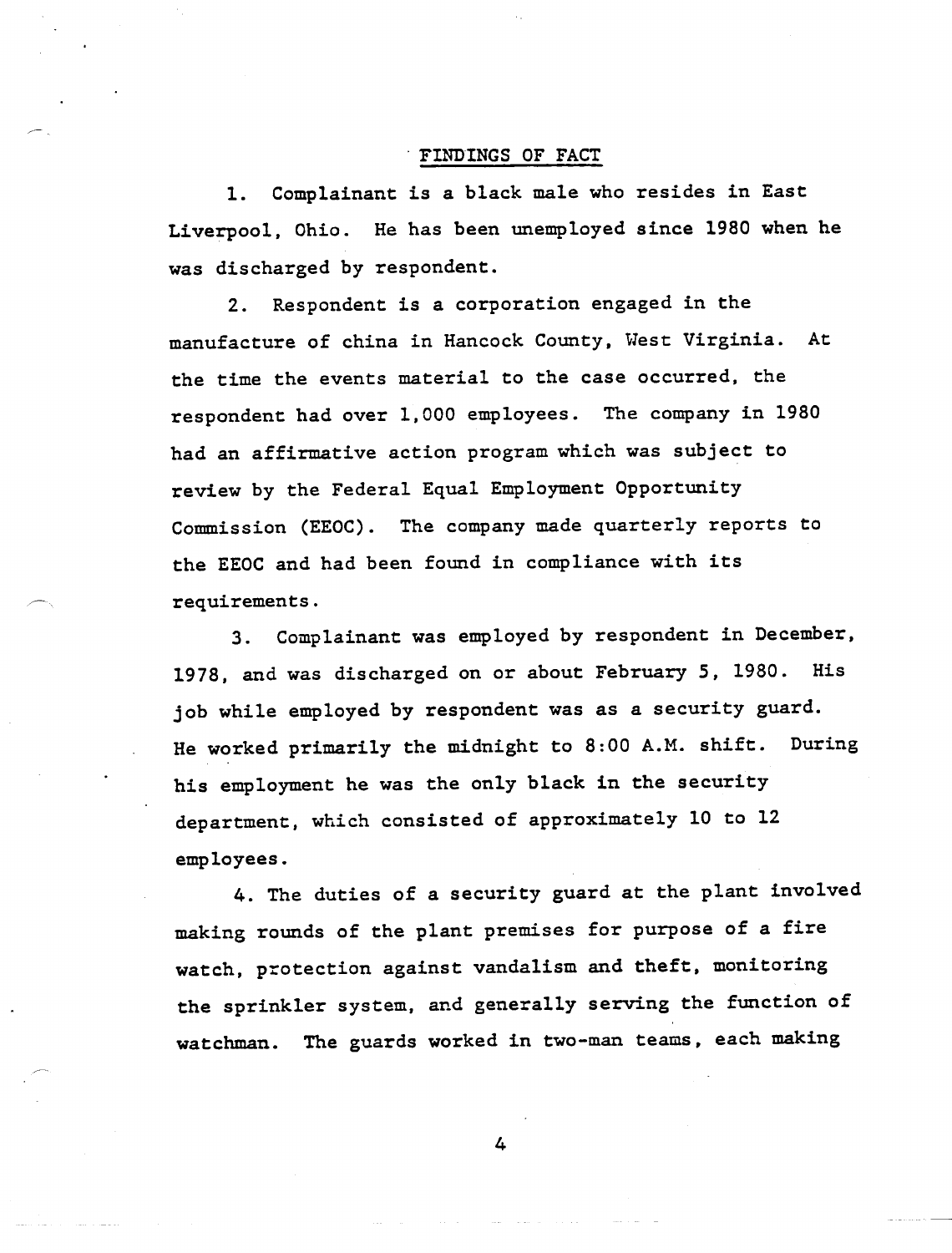### FINDINGS OF FACT

1. Complainant is a black male who resides in East Liverpool, Ohio. He has been unemployed since 1980 when he was discharged by respondent.

2. Respondent is a corporation engaged in the manufacture of china in Hancock County, West Virginia. At the time the events material to the case occurred, the respondent had over 1,000 employees. The company in 1980 had an affirmative action program which was subject to review by the Federal Equal Employment Opportunity Commission (EEOC). The company made quarterly reports to the EEOC and had been found in compliance with its requirements.

3. Complainant was employed by respondent in December, 1978, and was discharged on or about February 5, 1980. His job while employed by respondent was as a security guard. He worked primarily the midnight to 8:00 A.M. shift. During his employment he was the only black in the security department, which consisted of approximately 10 to 12 employees.

4. The duties of a security guard at the plant involved making rounds of the plant premises for purpose of a fire watch, protection against vandalism and theft, monitoring the sprinkler system, and generally serving the function of watchman. The guards worked in two-man teams, each making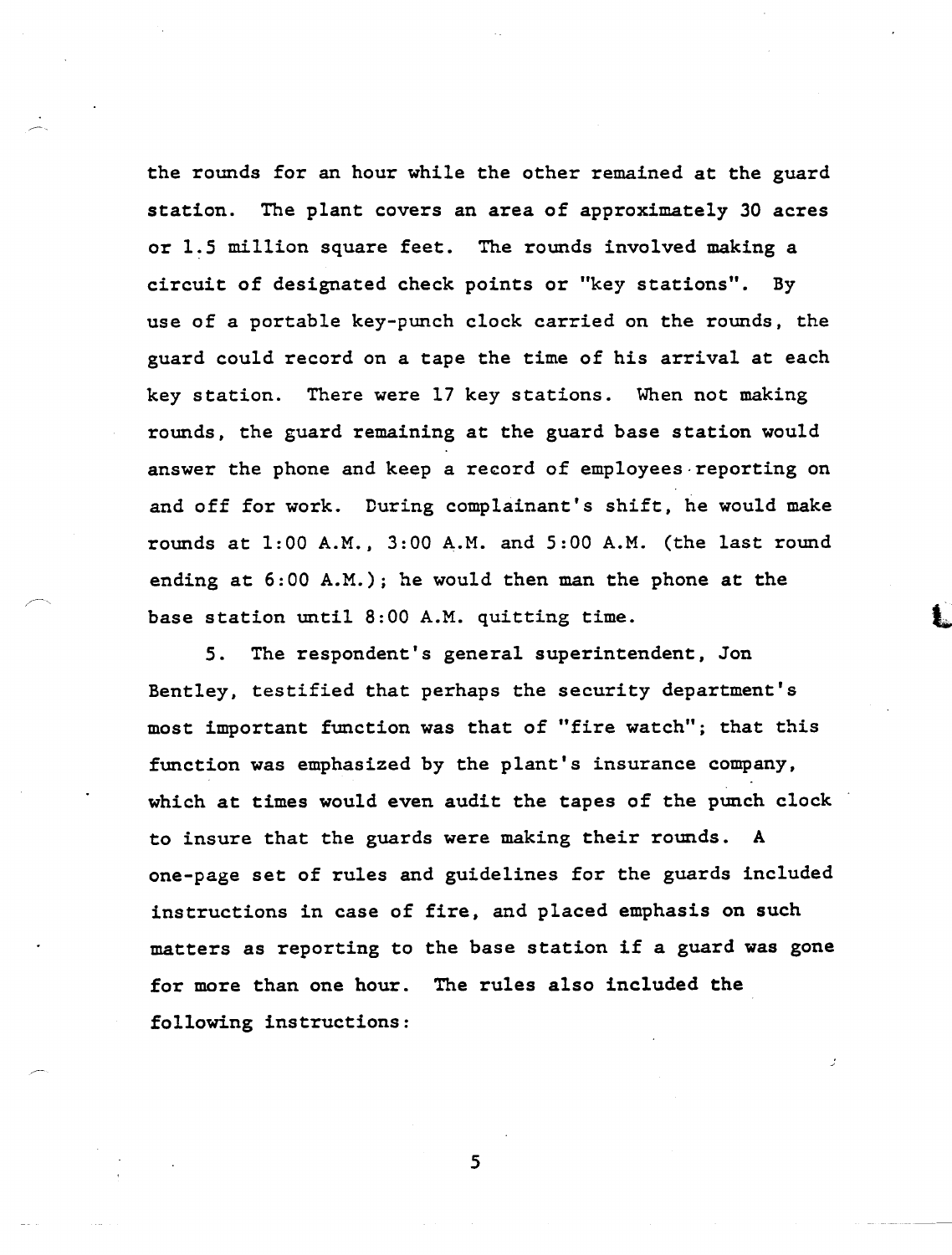the rounds for an hour while the other remained at the guard station. The plant covers an area of approximately 30 acres or 1.5 million square feet. The rounds involved making a circuit of designated check points or "key stations". By use of a portable key-punch clock carried on the rounds, the guard could record on a tape the time of his arrival at each key station. There were 17 key stations. When not making rounds, the guard remaining at the guard base station would answer the phone and keep a record of employees-reporting on and off for work. During complainant's shift, he would make rounds at 1:00 A.M., 3:00 A.M. and 5:00 A.M. (the last round ending at 6:00 A.M.); he would then man the phone at the base station until 8:00 A.M. quitting time.

5. The respondent's general superintendent, Jon Bentley, testified that perhaps the security department's most important function was that of "fire watch"; that this function was emphasized by the plant's insurance company, which at times would even audit the tapes of the punch clock to insure that the guards were making their rounds. A one-page set of rules and guidelines for the guards included instructions in case of fire, and placed emphasis on such matters as reporting to the base station if a guard was gone for more than one hour. The rules also included the following instructions: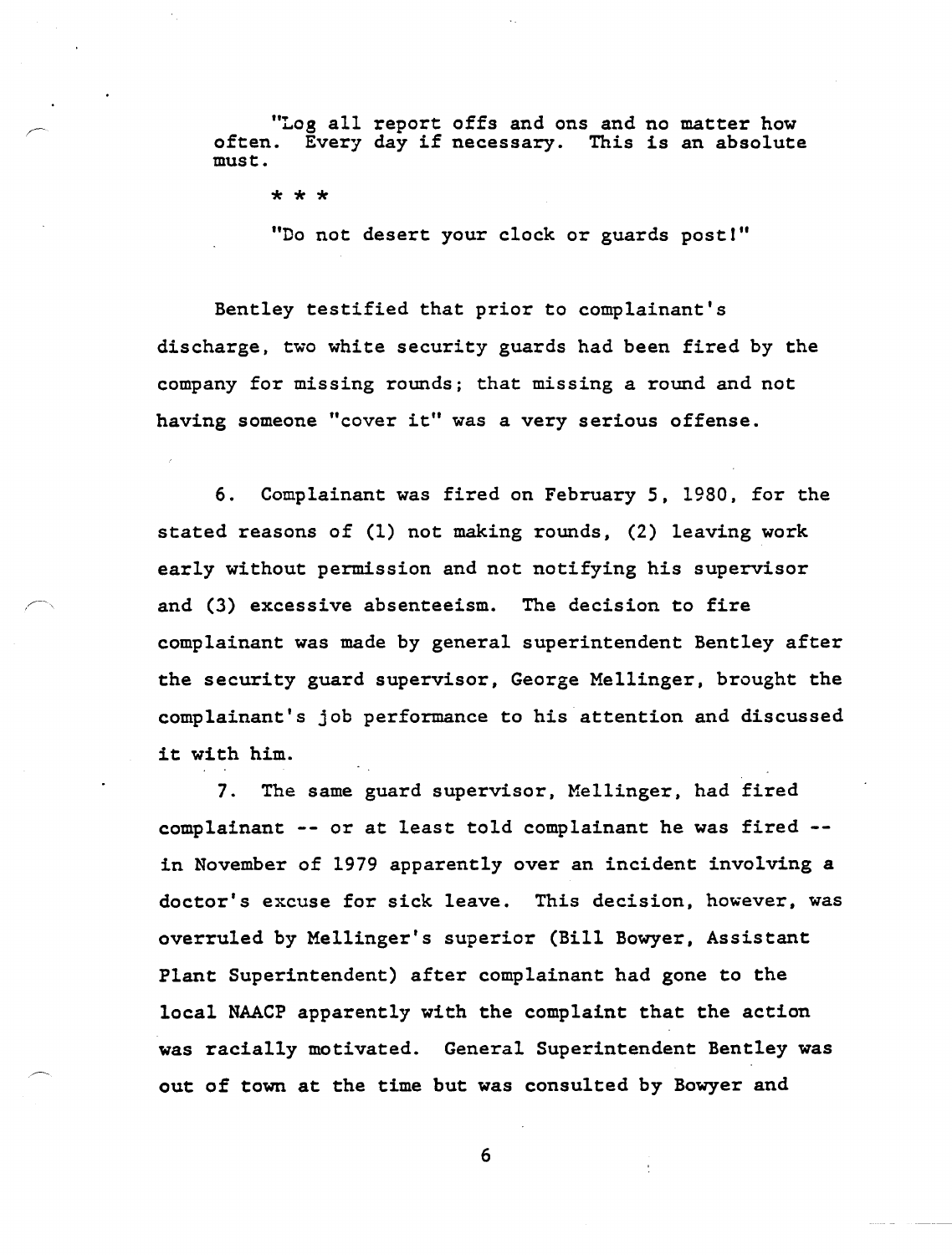"Log all report offs and ons and no matter how often. Every day if necessary. This is an absolute must.

\* \* \*

"Do not desert your clock or guards post!"

Bentley testified that prior to complainant's discharge, two white security guards had been fired by the company for missing rounds; that missing a round and not having someone "cover it" was a very serious offense.

6. Complainant was fired on February 5, 1980, for the stated reasons of (1) not making rounds, (2) leaving work early without permission and not notifying his supervisor and (3) excessive absenteeism. The decision to fire complainant was made by general superintendent Bentley after the security guard supervisor, George Mellinger, brought the complainant's job performance to his attention and discussed it with him.

7. The same guard supervisor, Mellinger, had fired complainant -- or at least told complainant he was fired in November of 1979 apparently over an incident involving a doctor's excuse for sick leave. This decision, however, was overruled by Mellinger's superior (Bill Bowyer, Assistant Plant Superintendent) after complainant had gone to the local NAACP apparently with the complaint that the action was racially motivated. General Superintendent Bentley was out of town at the time but was consulted by Bowyer and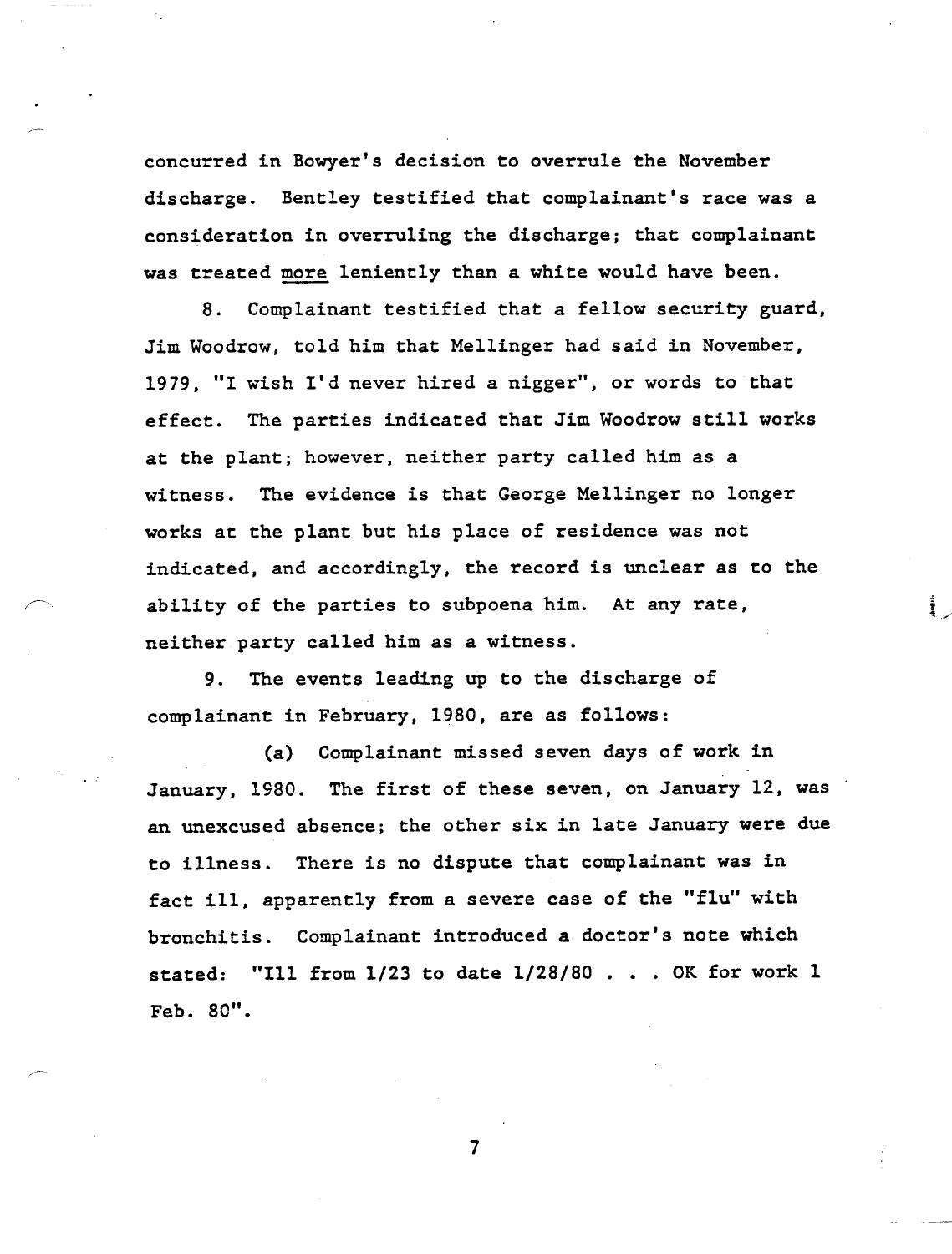concurred in Bowyer's decision to overrule the November discharge. Bentley testified that complainant's race was a consideration in overruling the discharge; that complainant was treated more leniently than a white would have been.

8. Complainant testified that a fellow security guard, Jim Woodrow, told him that Mellinger had said in November, 1979, "I wish I'd never hired a nigger", or words to that effect. The parties indicated that Jim Woodrow still works at the plant; however, neither party called him as a witness. The evidence is that George Mellinger no longer works at the plant but his place of residence was not indicated, and accordingly, the record is unclear as to the ability of the parties to subpoena him. At any rate, neither party called him as a witness.

a<br>E

9. The events leading up to the discharge of complainant in February, 1980, are as follows:

(a) Complainant missed seven days of work in January, 1980. The first of these seven, on January 12, was an unexcused absence; the other six in late January were due to illness. There is no dispute that complainant was in fact ill, apparently from a severe case of the "flu" with bronchitis. Complainant introduced a doctor's note which stated: "Ill from 1/23 to date 1/28/80 • • • OK for work 1 Feb. 80".

 $\overline{7}$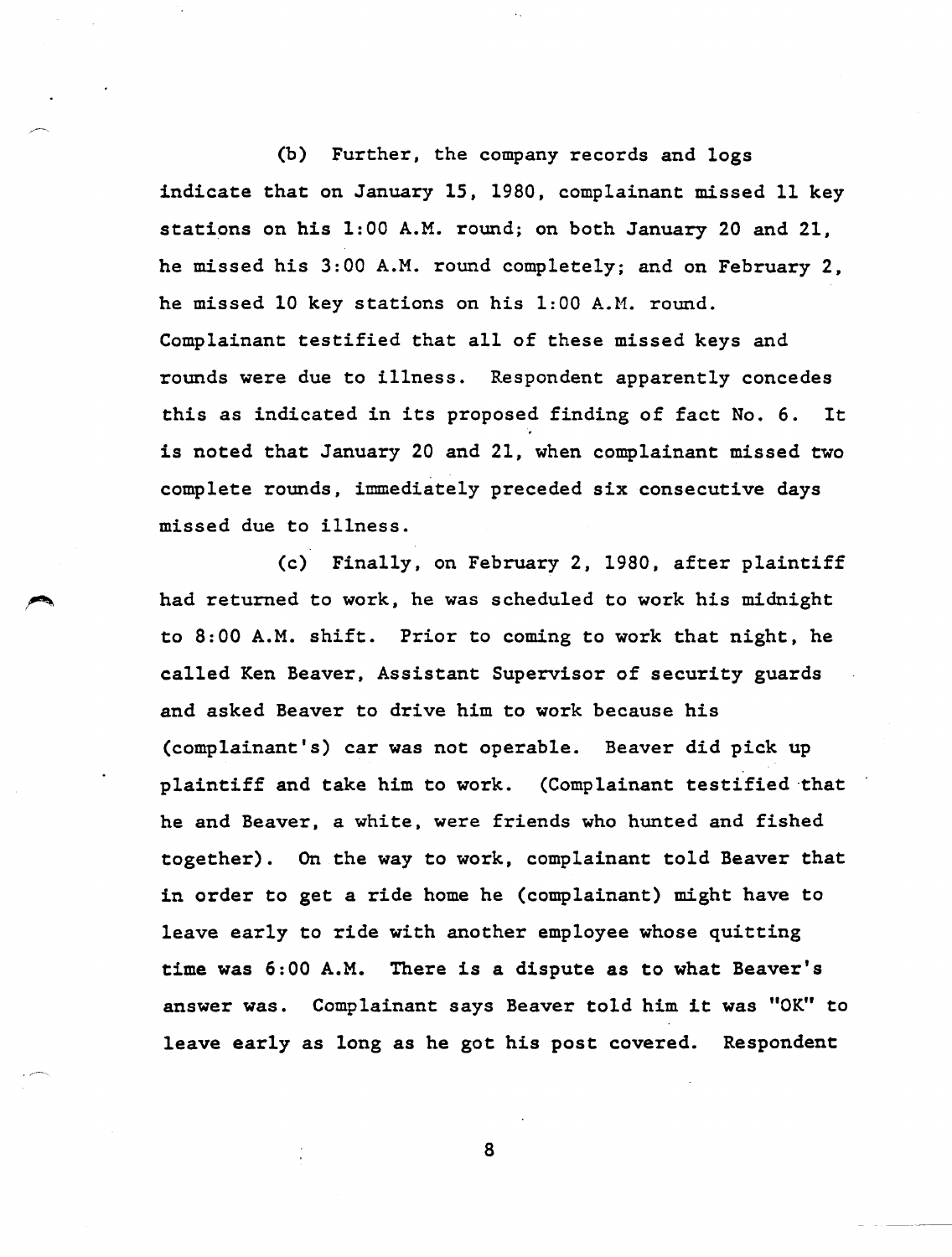(b) Further, the company records and logs indicate that on January 15, 1980, complainant missed 11 key stations on his 1:00 A.M. round; on both January 20 and 21, he missed his 3:00 A.M. round completely; and on February 2, he missed 10 key stations on his 1:00 A.M. round. Complainant testified that all of these missed keys and rounds were due to illness. Respondent apparently concedes this as indicated in its proposed finding of fact No.6. It is noted that January 20 and 21, when complainant missed two complete rounds, immediately preceded six consecutive days missed due to illness.

(c) Finally, on February 2, 1980, after plaintiff had returned to work, he was scheduled to work his midnight to 8:00 A.M. shift. Prior to coming to work that night, he called Ken Beaver, Assistant Supervisor of security guards and asked Beaver to drive him to work because his (complainant's) car was not operable. Beaver did pick up plaintiff and take him to work. (Complainant testified ·that he and Beaver, a white, were friends who hunted and fished together). On the way to work, complainant told Beaver that in order to get a ride home he (complainant) might have to leave early to ride with another employee whose quitting time was 6:00 A.M. There is a dispute as to what Beaver's answer was. Complainant says Beaver told him it was "OK" to leave early as long as he got his post covered. Respondent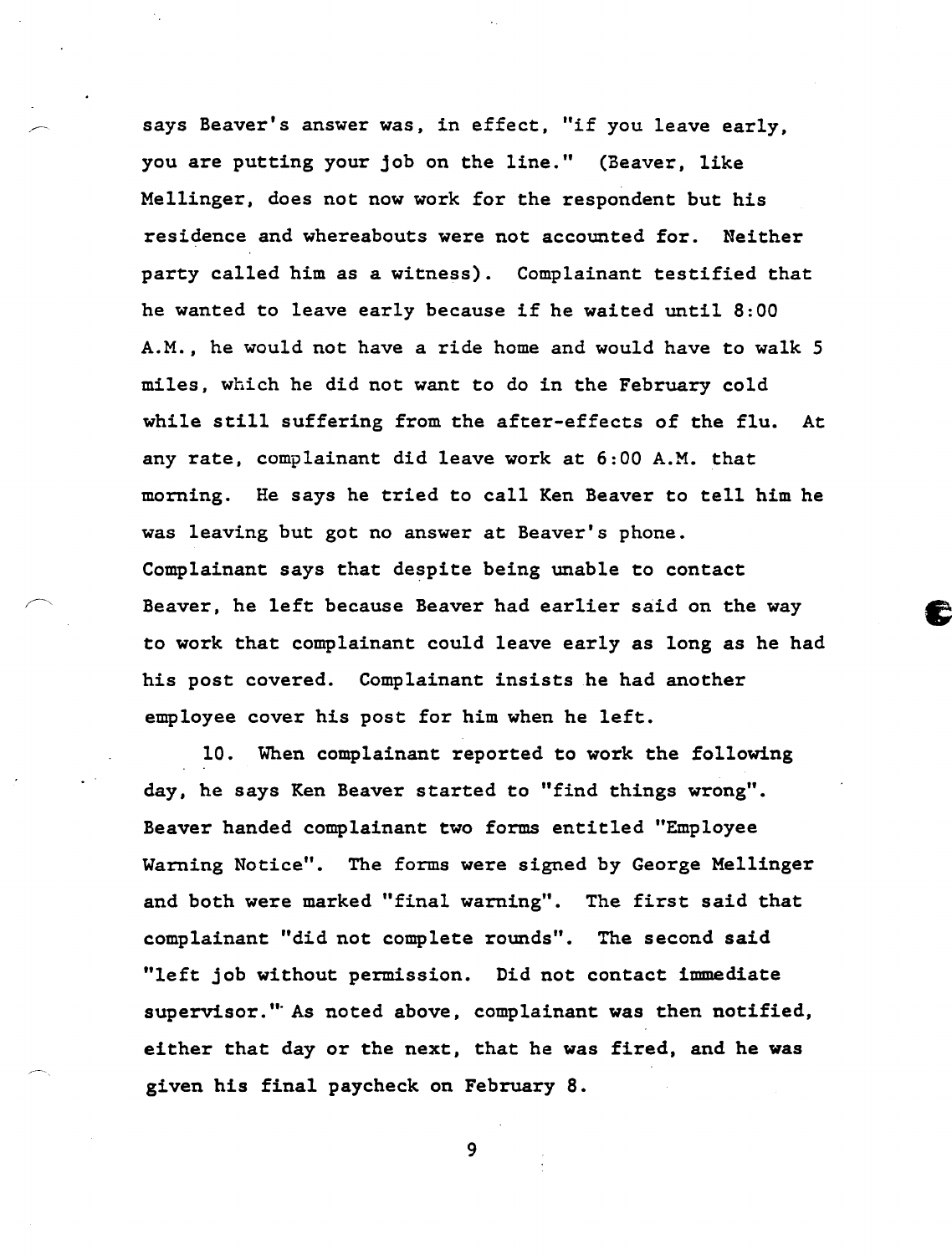says Beaver's answer was, in effect, "if you leave early, you are putting your job on the line." (Beaver, like Mellinger, does not now work for the respondent but his residence and whereabouts were not accounted for. Neither party called him as a witness). Complainant testified that he wanted to leave early because if he waited until 8:00 A.M., he would not have a ride home and would have to walk 5 miles, which he did not want to do in the February cold while still suffering from the after-effects of the flu. At any rate. complainant did leave work at 6:00 A.M. that morning. He says he tried to call Ken Beaver to tell him he was leaving but got no answer at Beaver's phone. Complainant says that despite being unable to contact Beaver, he left because Beaver had earlier said on the way to work that complainant could leave early as long as he had his post covered. Complainant insists he had another employee cover his post for him when he left.

10. When complainant reported to work the following day, he says Ken Beaver started to "find things wrong". Beaver handed complainant two forms entitled "Employee Warning Notice". The forms were signed by George Mellinger and both were marked "final warning". The first said that complainant "did not complete rounds". The second said "left job without permission. Did not contact immediate supervisor.'" As noted above, complainant was then notified, either that day or the next, that he was fired, and he was given his final paycheck on February 8.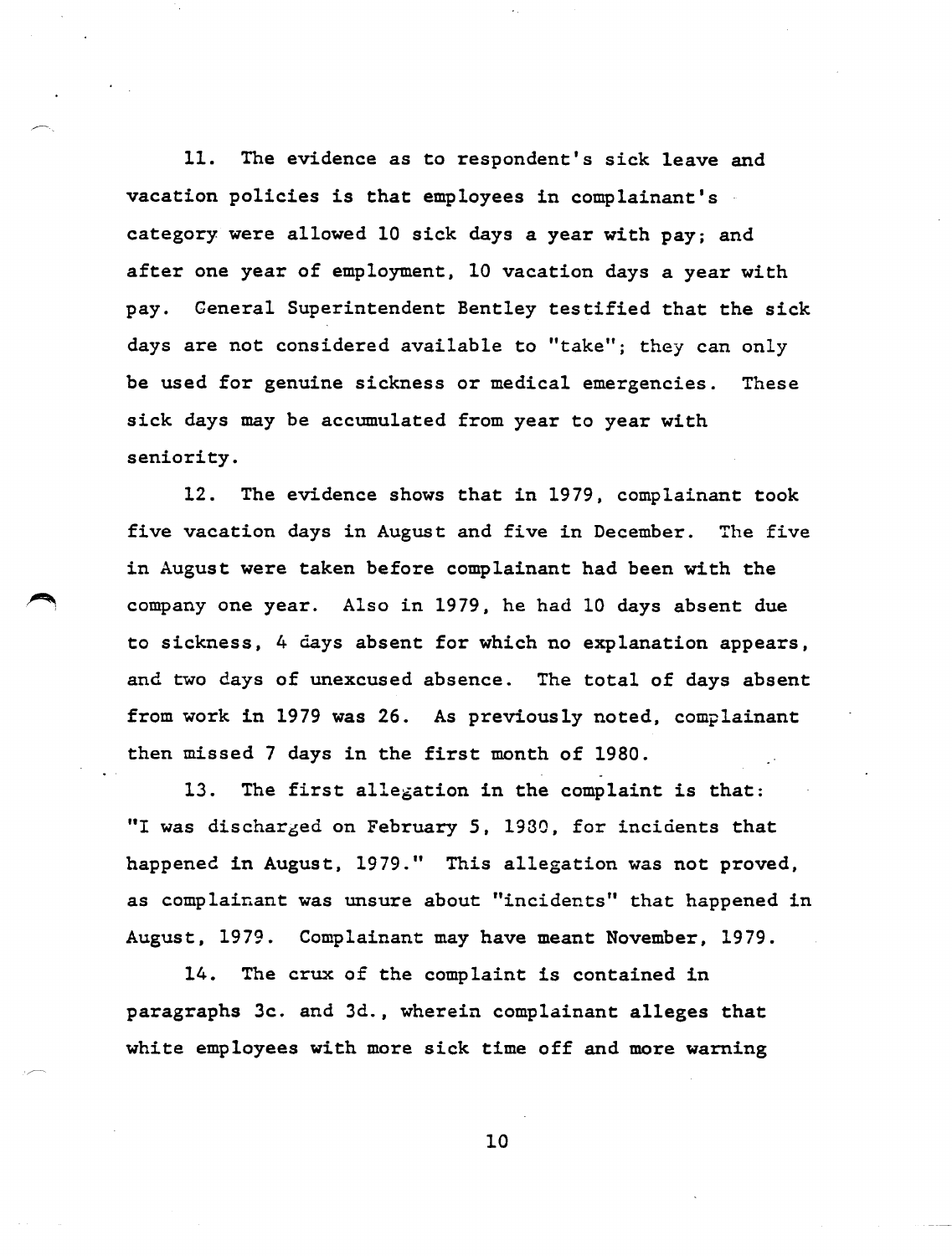11. The evidence as to respondent's sick leave and vacation policies is that employees in complainant's category were allowed 10 sick days a year with pay; and after one year of employment. 10 vacation days a year with pay. General Superintendent Bentley testified that the sick days are not considered available to "take"; they can only be used for genuine sickness or medical emergencies. These sick days may be accumulated from year to year with seniority.

12. The evidence shows that in 1979. complainant took five vacation days in August and five in December. The five in August were taken before complainant had been with the company one year. Also in 1979, he had 10 days absent due to sickness. 4 days absent for which no explanation appears, and two days of unexcused absence. The total of days absent from work in 1979 was 26. As previously noted, complainant then missed 7 days in the first month of 1980.

13. The first allegation in the complaint is that: "I was discharged on February 5, 1930, for incidents that happened in August, 1979." This allegation was not proved, as complainant was unsure about "incidents" that happened in August, 1979. Complainant may have meant November, 1979.

14. The crux of the complaint is contained in paragraphs 3c. and 3d., wherein complainant alleges that white employees with more sick time off and more warning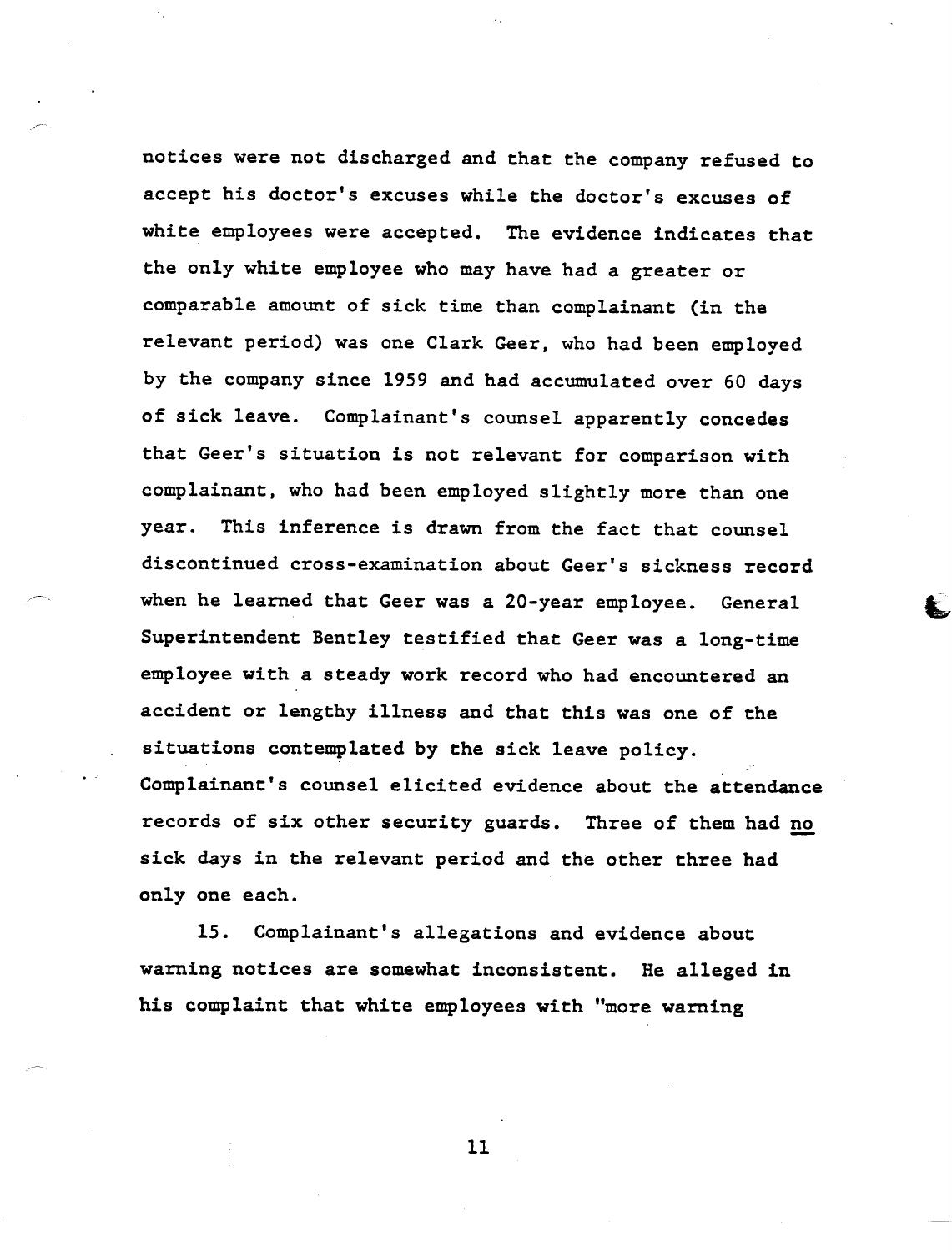notices were not discharged and that the company refused to accept his doctor's excuses while the doctor's excuses of white employees were accepted. The evidence indicates that the only white employee who may have had a greater or comparable amount of sick time than complainant (in the relevant period) was one Clark Geer, who had been employed by the company since 1959 and had accumulated over 60 days of sick leave. Complainant's counsel apparently concedes that Geer's situation is not relevant for comparison with complainant, who had been employed slightly more than one year. This inference is drawn from the fact that counsel discontinued cross-examination about Geer's sickness record when he learned that Geer was a 20-year employee. General Superintendent Bentley testified that Geer was a long-time employee with a steady work record who had encountered an accident or lengthy illness and that this was one of the situations contemplated by the sick leave policy. Complainant's counsel elicited evidence about the attendance records of six other security guards. Three of them had no sick days in the relevant period and the other three had only one each.

15. Complainant's allegations and evidence about warning notices are somewhat inconsistent. He alleged in his complaint that white employees with "more warning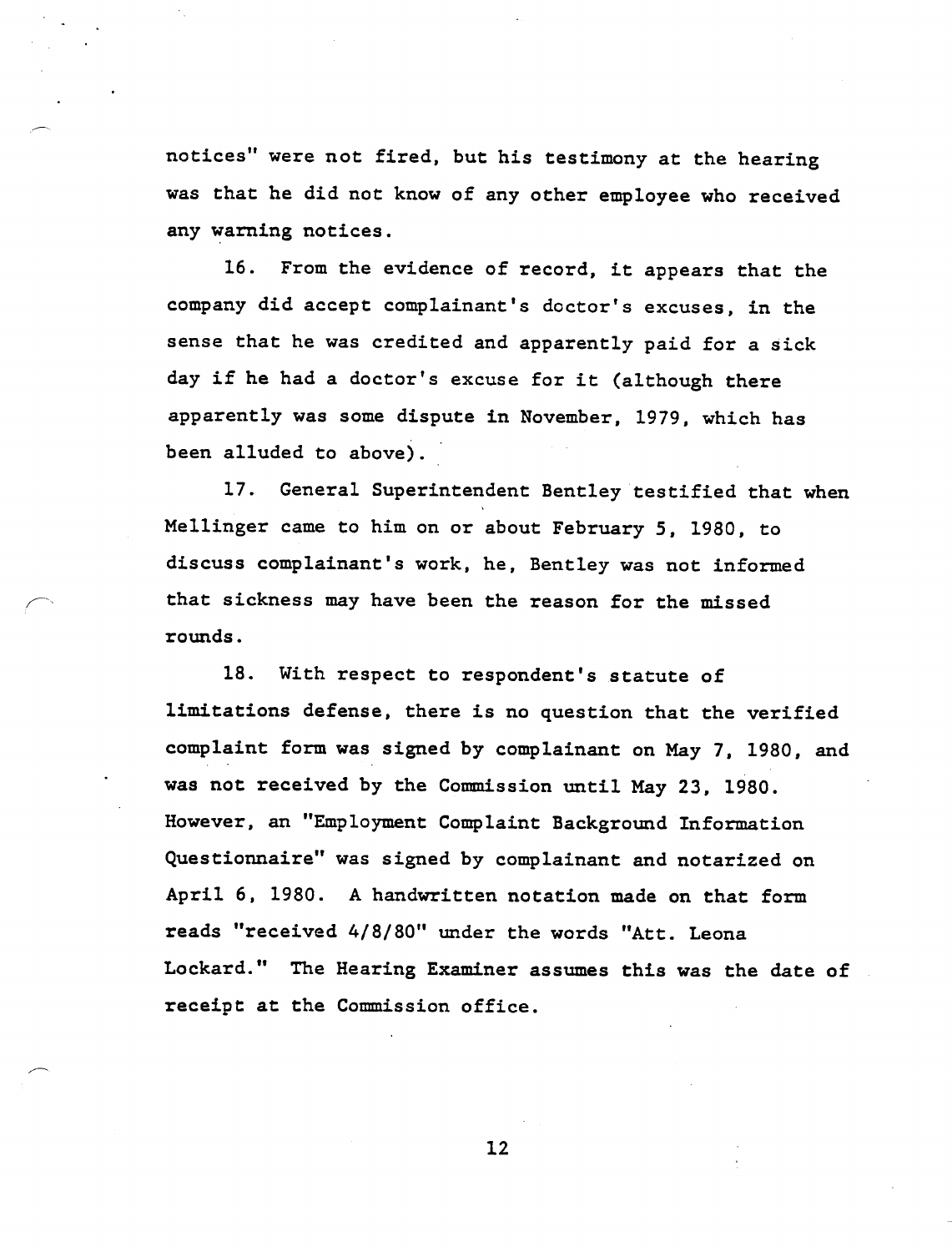notices" were not fired, but his testimony at the hearing was that he did not know of any other employee who received any warning notices.

16. From the evidence of record, it appears that the company did accept complainant's doctor's excuses, in the sense that he was credited and apparently paid for a sick day if he had a doctor's excuse for it (although there apparently was some dispute in November, 1979, which has been alluded to above).

17. General Superintendent Bentley testified that when Mellinger came to him on or about February 5, 1980, to discuss complainant's work, he, Bentley was not informed that sickness may have been the reason for the missed rounds.

18. With respect to respondent's statute of limitations defense, there is no question that the verified complaint form was signed by complainant on May 7, 1980, and was not received by the Commission until May 23, 1980. However, an "Employment Complaint Background Information Questionnaire" was signed by complainant and notarized on April 6, 1980. A handwritten notation made on that form reads "received 4/8/80" under the words "Att. Leona Lockard." The Hearing Examiner assumes this was the date of receipt at the Commission office.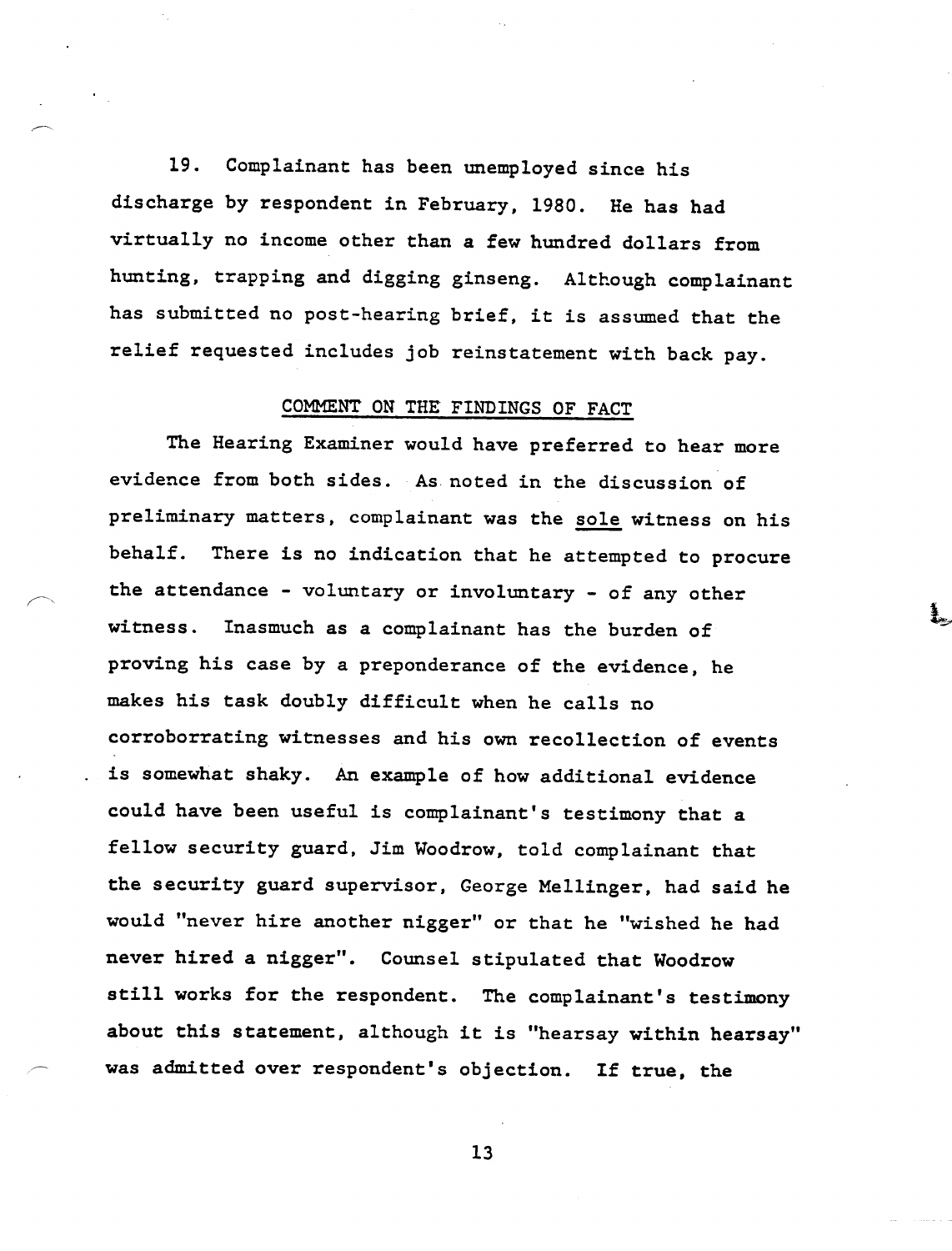19. Complainant has been unemployed since his discharge by respondent in February, 1980. He has had virtually no income other than a few hundred dollars from hunting, trapping and digging ginseng. Although complainant has submitted no post-hearing brief, it is assumed that the relief requested includes job reinstatement with back pay.

### COMMENT ON THE FINDINGS OF FACT

The Hearing Examiner would have preferred to hear more evidence from both sides. As noted in the discussion of preliminary matters, complainant was the sole witness on his behalf. There is no indication that he attempted to procure the attendance - voluntary or involuntary - of any other witness. Inasmuch as a complainant has the burden of proving his case by a preponderance of the evidence, he makes his task doubly difficult when he calls no corroborrating witnesses and his own recollection of events is somewhat shaky. An example of how additional evidence could have been useful is complainant's testimony that a fellow security guard, Jim Woodrow, told complainant that the security guard supervisor, George Mellinger, had said he would "never hire another nigger" or that he "wished he had never hired a nigger". Counsel stipulated that Woodrow still works for the respondent. The complainant's testimony about this statement, although it is "hearsay within hearsay" was admitted over respondent's objection. If true, the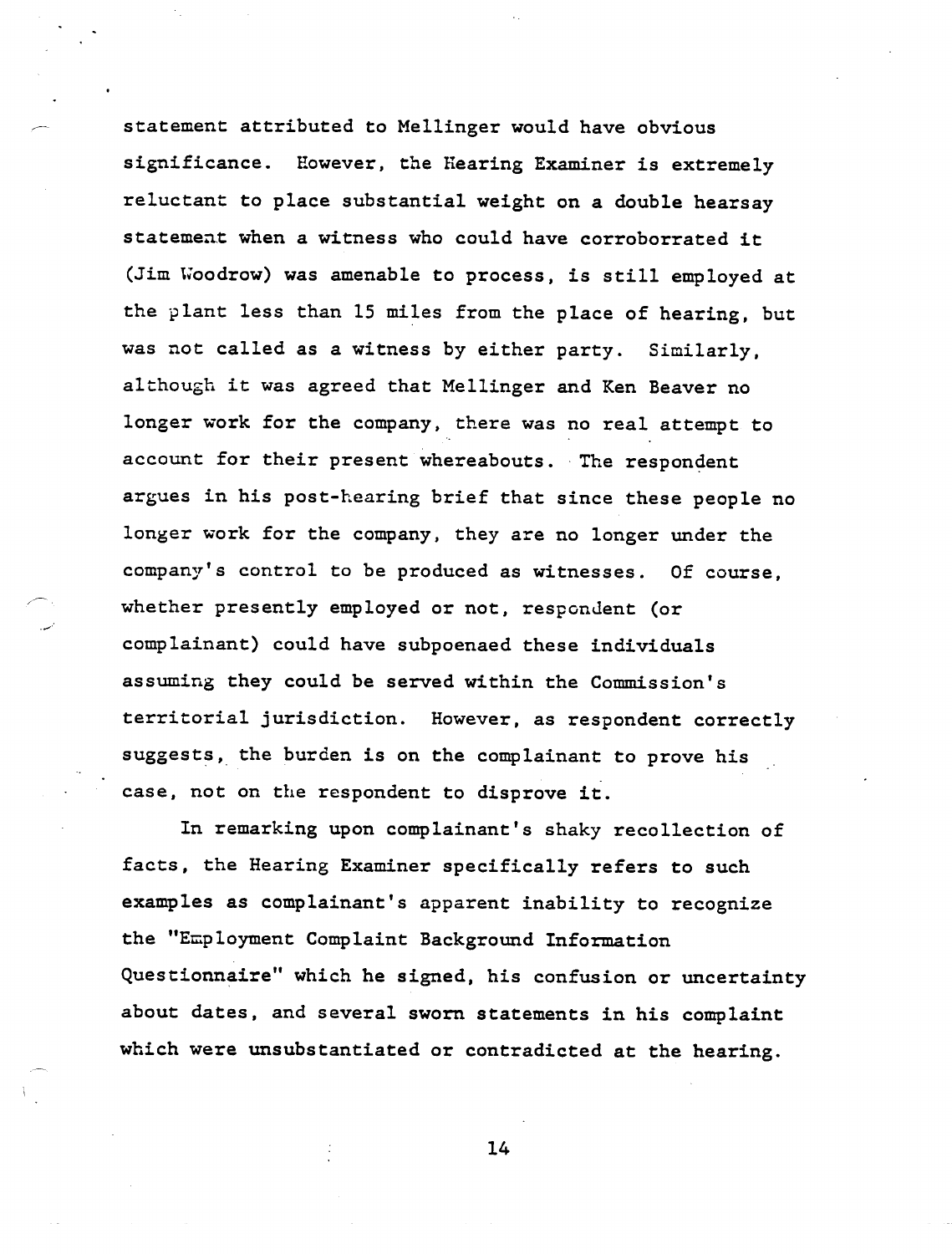statement attributed to Mellinger would have obvious significance. However, the Hearing Examiner is extremely reluctant to place substantial weight on a double hearsay statement when a witness who could have corroborrated it (Jim Woodrow) was amenable to process, is still employed at the plant less than 15 miles from the place of hearing, but was not called as a witness by either party. Similarly, although it was agreed that Mellinger and Ken Beaver no longer work for the company, there was no real attempt to account for their present whereabouts. The respondent argues in his post-hearing brief that since these people no longer work for the company, they are no longer under the company's control to be produced as witnesses. Of course, whether presently employed or not, respondent (or complainant) could have subpoenaed these individuals assuming they could be served within the Commission's territorial jurisdiction. However, as respondent correctly suggests, the burden is on the complainant to prove his case, not on the respondent to disprove it.

In remarking upon complainant's shaky recollection of facts, the Hearing Examiner specifically refers to such examples as complainant's apparent inability to recognize the "Employment Complaint Background Information Questionnaire" which he signed, his confusion or uncertainty about dates, and several sworn statements in his complaint which were unsubstantiated or contradicted at the hearing.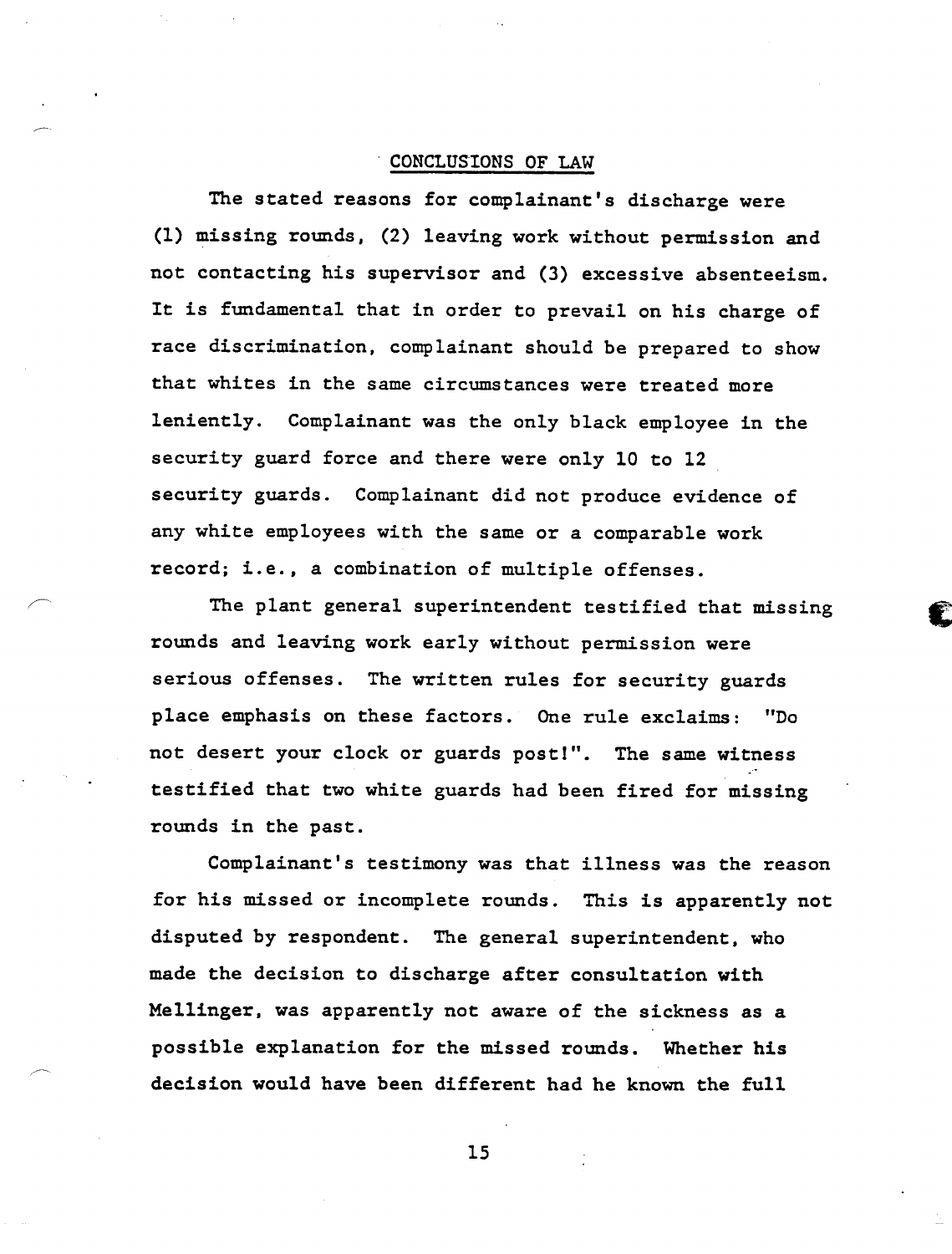## CONCLUSIONS OF LAW

The stated reasons for complainant's discharge were (1) missing rounds, (2) leaving work without permission and not contacting his supervisor and (3) excessive absenteeism. It is fundamental that in order to prevail on his charge of race discrimination, complainant should be prepared to show that whites in the same circumstances were treated more leniently. Complainant was the only black employee in the security guard force and there were only 10 to 12 security guards. Complainant did not produce evidence of any white employees with the same or a comparable work record; i.e., a combination of multiple offenses.

The plant general superintendent testified that missing rounds and leaving work early without permission were serious offenses. The written rules for security guards place emphasis on these factors. One rule exclaims: "Do not desert your clock or guards post!". The same witness testified that two white guards had been fired for missing rounds in the past.

Complainant's testimony was that illness was the reason for his missed or incomplete rounds. This is apparently not disputed by respondent. The general superintendent, who made the decision to discharge after consultation with Mellinger. was apparently not aware of the sickness as a possible explanation for the missed rounds. Whether his decision would have been different had he known the full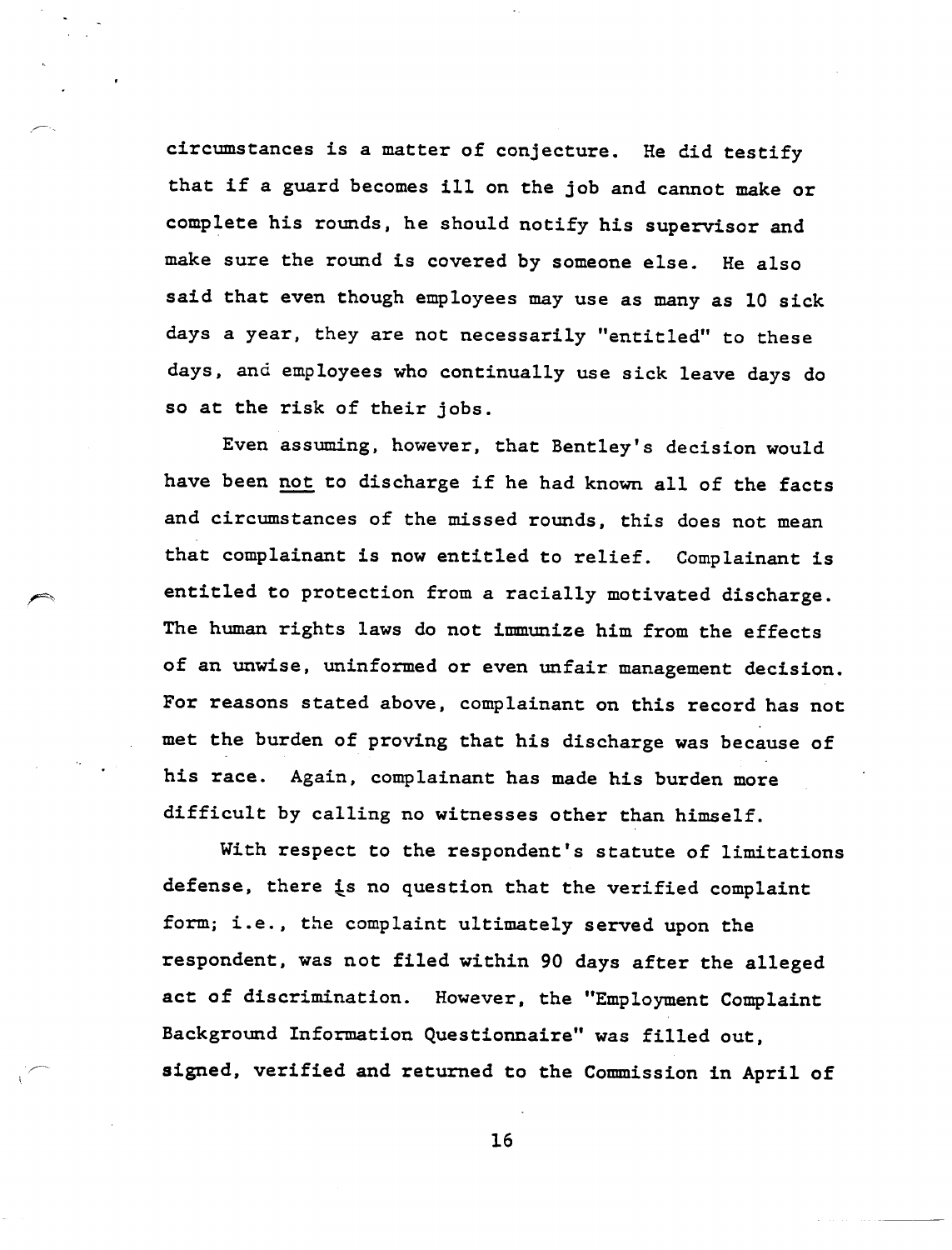circumstances is a matter of conjecture. He did testify that if a guard becomes ill on the job and cannot make or complete his rounds, he should notify his supervisor and make sure the round is covered by someone else. He also said that even though employees may use as many as 10 sick days a year, they are not necessarily "entitled" to these days, and employees who continually use sick leave days do so at the risk of their jobs.

Even assuming, however, that Bentley's decision would have been not to discharge if he had known all of the facts and circumstances of the missed rounds, this does not mean that complainant is now entitled to relief. Complainant is entitled to protection from a racially motivated discharge. The human rights laws do not immunize him from the effects of an unwise, uninformed or even unfair management decision. For reasons stated above, complainant on this record has not met the burden of proving that his discharge was because of his race. Again, complainant has made his burden more difficult by calling no witnesses other than himself.

With respect to the respondent's statute of limitations defense, there is no question that the verified complaint form; i.e., the complaint ultimately served upon the respondent, was not filed within 90 days after the alleged act of discrimination. However, the "Employment Complaint Background Information Questionnaire" was filled out, signed, verified and returned to the Commission in April of